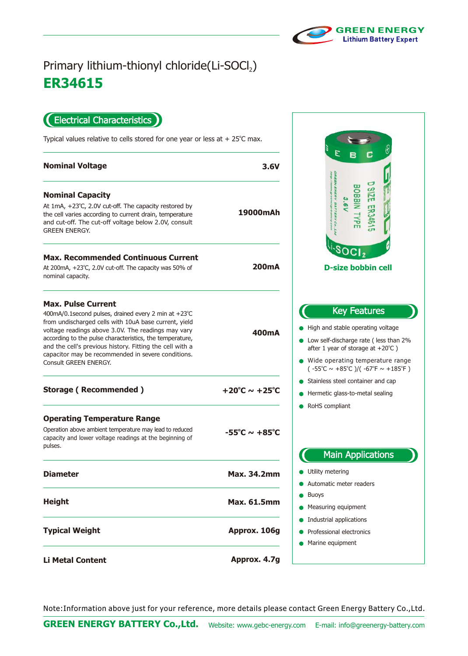

## **ER34615** Primary lithium-thionyl chloride(Li-SOCl2)

Electrical Characteristics  $\blacksquare$ 

Typical values relative to cells stored for one year or less at  $+25^{\circ}$ C max.

| <b>Nominal Voltage</b>                                                                                                                                                                                                                                                                                                                                                                                  | 3.6V                              |
|---------------------------------------------------------------------------------------------------------------------------------------------------------------------------------------------------------------------------------------------------------------------------------------------------------------------------------------------------------------------------------------------------------|-----------------------------------|
| <b>Nominal Capacity</b><br>At $1mA$ , $+23^{\circ}C$ , 2.0V cut-off. The capacity restored by<br>the cell varies according to current drain, temperature<br>and cut-off. The cut-off voltage below 2.0V, consult                                                                                                                                                                                        | 19000mAh                          |
| <b>GREEN ENERGY.</b>                                                                                                                                                                                                                                                                                                                                                                                    |                                   |
| <b>Max. Recommended Continuous Current</b><br>At 200mA, +23°C, 2.0V cut-off. The capacity was 50% of<br>nominal capacity.                                                                                                                                                                                                                                                                               | 200mA                             |
| <b>Max. Pulse Current</b><br>400mA/0.1second pulses, drained every 2 min at +23°C<br>from undischarged cells with 10uA base current, yield<br>voltage readings above 3.0V. The readings may vary<br>according to the pulse characteristics, the temperature,<br>and the cell's previous history. Fitting the cell with a<br>capacitor may be recommended in severe conditions.<br>Consult GREEN ENERGY. | 400mA                             |
| <b>Storage (Recommended)</b>                                                                                                                                                                                                                                                                                                                                                                            | $+20^{\circ}$ C ~ $+25^{\circ}$ C |
| <b>Operating Temperature Range</b>                                                                                                                                                                                                                                                                                                                                                                      |                                   |
| Operation above ambient temperature may lead to reduced<br>capacity and lower voltage readings at the beginning of<br>pulses.                                                                                                                                                                                                                                                                           | $-55^{\circ}$ C ~ $+85^{\circ}$ C |
| <b>Diameter</b>                                                                                                                                                                                                                                                                                                                                                                                         | <b>Max. 34.2mm</b>                |
| <b>Height</b>                                                                                                                                                                                                                                                                                                                                                                                           | <b>Max. 61.5mm</b>                |
| <b>Typical Weight</b>                                                                                                                                                                                                                                                                                                                                                                                   | Approx. 106g                      |
| <b>Li Metal Content</b>                                                                                                                                                                                                                                                                                                                                                                                 | Approx. 4.7g                      |



Note:Information above just for your reference, more details please contact Green Energy Battery Co.,Ltd.